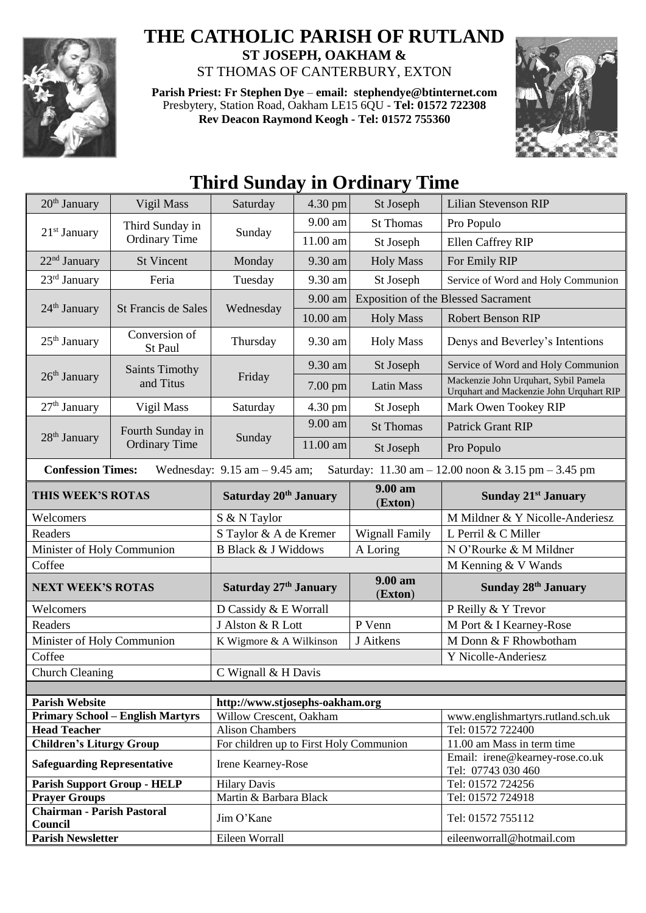

## **THE CATHOLIC PARISH OF RUTLAND**

**ST JOSEPH, OAKHAM &**  ST THOMAS OF CANTERBURY, EXTON

**Parish Priest: Fr Stephen Dye** – **[email: stephendye@btinternet.com](mailto:email:%20%20stephendye@btinternet.com)** Presbytery, Station Road, Oakham LE15 6QU - **Tel: 01572 722308 Rev Deacon Raymond Keogh - Tel: 01572 755360**



## **Third Sunday in Ordinary Time**

| $20th$ January                                                                                                                                         | Vigil Mass                               | Saturday                                                          | 4.30 pm           | St Joseph             | <b>Lilian Stevenson RIP</b>                                                       |  |
|--------------------------------------------------------------------------------------------------------------------------------------------------------|------------------------------------------|-------------------------------------------------------------------|-------------------|-----------------------|-----------------------------------------------------------------------------------|--|
| $21st$ January                                                                                                                                         | Third Sunday in<br><b>Ordinary Time</b>  | Sunday                                                            | 9.00 am           | <b>St Thomas</b>      | Pro Populo                                                                        |  |
|                                                                                                                                                        |                                          |                                                                   | 11.00 am          | St Joseph             | Ellen Caffrey RIP                                                                 |  |
| 22 <sup>nd</sup> January                                                                                                                               | <b>St Vincent</b>                        | Monday                                                            | 9.30 am           | <b>Holy Mass</b>      | For Emily RIP                                                                     |  |
| 23 <sup>rd</sup> January                                                                                                                               | Feria                                    | Tuesday                                                           | 9.30 am           | St Joseph             | Service of Word and Holy Communion                                                |  |
| $24th$ January                                                                                                                                         | St Francis de Sales                      | Wednesday                                                         | 9.00 am           |                       | <b>Exposition of the Blessed Sacrament</b>                                        |  |
|                                                                                                                                                        |                                          |                                                                   | 10.00 am          | <b>Holy Mass</b>      | Robert Benson RIP                                                                 |  |
| $25th$ January                                                                                                                                         | Conversion of<br>St Paul                 | Thursday                                                          | 9.30 am           | <b>Holy Mass</b>      | Denys and Beverley's Intentions                                                   |  |
| $26th$ January                                                                                                                                         | <b>Saints Timothy</b><br>and Titus       | Friday                                                            | 9.30 am           | St Joseph             | Service of Word and Holy Communion                                                |  |
|                                                                                                                                                        |                                          |                                                                   | $7.00 \text{ pm}$ | <b>Latin Mass</b>     | Mackenzie John Urquhart, Sybil Pamela<br>Urquhart and Mackenzie John Urquhart RIP |  |
| $27th$ January                                                                                                                                         | Vigil Mass                               | Saturday                                                          | 4.30 pm           | St Joseph             | Mark Owen Tookey RIP                                                              |  |
| 28 <sup>th</sup> January                                                                                                                               | Fourth Sunday in<br><b>Ordinary Time</b> | Sunday                                                            | 9.00 am           | <b>St Thomas</b>      | <b>Patrick Grant RIP</b>                                                          |  |
|                                                                                                                                                        |                                          |                                                                   | 11.00 am          | St Joseph             | Pro Populo                                                                        |  |
| <b>Confession Times:</b><br>Wednesday: $9.15$ am $-9.45$ am;<br>Saturday: $11.30 \text{ am} - 12.00 \text{ noon} \& 3.15 \text{ pm} - 3.45 \text{ pm}$ |                                          |                                                                   |                   |                       |                                                                                   |  |
| THIS WEEK'S ROTAS                                                                                                                                      |                                          | Saturday 20th January                                             |                   | 9.00 am<br>(Exton)    | <b>Sunday 21st January</b>                                                        |  |
| Welcomers                                                                                                                                              |                                          | S & N Taylor                                                      |                   |                       | M Mildner & Y Nicolle-Anderiesz                                                   |  |
| Readers                                                                                                                                                |                                          | S Taylor & A de Kremer                                            |                   | <b>Wignall Family</b> | L Perril & C Miller                                                               |  |
| Minister of Holy Communion                                                                                                                             |                                          | <b>B Black &amp; J Widdows</b>                                    |                   | A Loring              | N O'Rourke & M Mildner                                                            |  |
| Coffee                                                                                                                                                 |                                          |                                                                   |                   |                       | M Kenning & V Wands                                                               |  |
| <b>NEXT WEEK'S ROTAS</b>                                                                                                                               |                                          | Saturday 27th January                                             |                   | 9.00 am<br>(Exton)    | <b>Sunday 28th January</b>                                                        |  |
| Welcomers                                                                                                                                              |                                          | D Cassidy & E Worrall                                             |                   |                       | P Reilly & Y Trevor                                                               |  |
| Readers                                                                                                                                                |                                          | J Alston & R Lott                                                 |                   | P Venn                | M Port & I Kearney-Rose                                                           |  |
| Minister of Holy Communion                                                                                                                             |                                          | K Wigmore & A Wilkinson                                           |                   | J Aitkens             | M Donn & F Rhowbotham                                                             |  |
| Coffee                                                                                                                                                 |                                          |                                                                   |                   |                       | Y Nicolle-Anderiesz                                                               |  |
| <b>Church Cleaning</b>                                                                                                                                 |                                          | C Wignall & H Davis                                               |                   |                       |                                                                                   |  |
|                                                                                                                                                        |                                          |                                                                   |                   |                       |                                                                                   |  |
| <b>Parish Website</b>                                                                                                                                  |                                          | http://www.stjosephs-oakham.org                                   |                   |                       |                                                                                   |  |
| <b>Primary School - English Martyrs</b>                                                                                                                |                                          | Willow Crescent, Oakham                                           |                   |                       | www.englishmartyrs.rutland.sch.uk<br>Tel: 01572 722400                            |  |
| <b>Head Teacher</b>                                                                                                                                    |                                          | <b>Alison Chambers</b><br>For children up to First Holy Communion |                   |                       | 11.00 am Mass in term time                                                        |  |
| <b>Children's Liturgy Group</b>                                                                                                                        |                                          |                                                                   |                   |                       | Email: irene@kearney-rose.co.uk                                                   |  |
| <b>Safeguarding Representative</b>                                                                                                                     |                                          | Irene Kearney-Rose                                                |                   |                       | Tel: 07743 030 460                                                                |  |
| <b>Parish Support Group - HELP</b>                                                                                                                     |                                          | <b>Hilary Davis</b>                                               |                   |                       | Tel: 01572 724256                                                                 |  |
| <b>Prayer Groups</b><br><b>Chairman - Parish Pastoral</b>                                                                                              |                                          | Martin & Barbara Black                                            |                   |                       | Tel: 01572 724918                                                                 |  |
| Council                                                                                                                                                |                                          | Jim O'Kane                                                        |                   |                       | Tel: 01572 755112                                                                 |  |
| <b>Parish Newsletter</b>                                                                                                                               |                                          | Eileen Worrall                                                    |                   |                       | eileenworrall@hotmail.com                                                         |  |